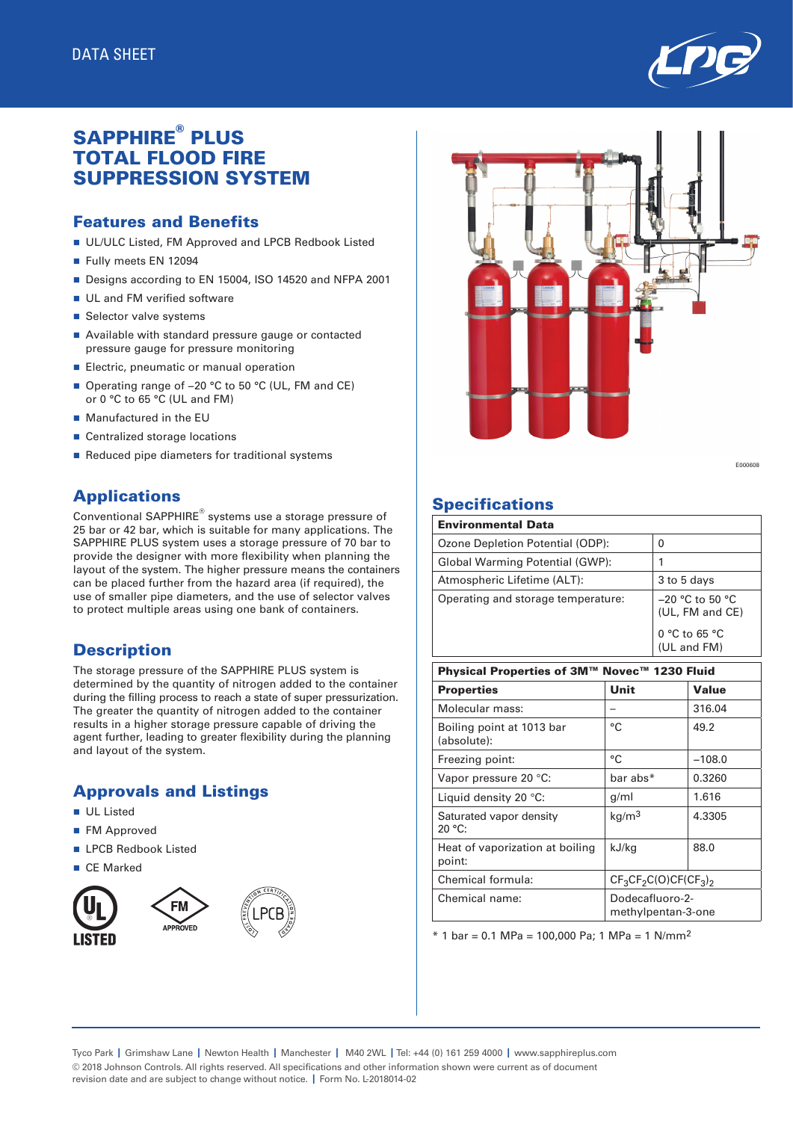

# SAPPHIRE® PLUS TOTAL FLOOD FIRE SUPPRESSION SYSTEM

#### Features and Benefits

- UL/ULC Listed, FM Approved and LPCB Redbook Listed
- Fully meets EN 12094
- Designs according to EN 15004, ISO 14520 and NFPA 2001
- **DE UL and FM verified software**
- Selector valve systems
- Available with standard pressure gauge or contacted pressure gauge for pressure monitoring
- **Electric, pneumatic or manual operation**
- Operating range of -20 °C to 50 °C (UL, FM and CE) or 0 °C to 65 °C (UL and FM)
- $\blacksquare$  Manufactured in the EU
- Centralized storage locations
- Reduced pipe diameters for traditional systems

## Applications

Conventional SAPPHIRE® systems use a storage pressure of 25 bar or 42 bar, which is suitable for many applications. The SAPPHIRE PLUS system uses a storage pressure of 70 bar to provide the designer with more flexibility when planning the layout of the system. The higher pressure means the containers can be placed further from the hazard area (if required), the use of smaller pipe diameters, and the use of selector valves to protect multiple areas using one bank of containers.

### **Description**

The storage pressure of the SAPPHIRE PLUS system is determined by the quantity of nitrogen added to the container during the filling process to reach a state of super pressurization. The greater the quantity of nitrogen added to the container results in a higher storage pressure capable of driving the agent further, leading to greater flexibility during the planning and layout of the system.

## Approvals and Listings

- n UL Listed
- **n** FM Approved
- **n** LPCB Redbook Listed
- CE Marked





E000608

## **Specifications**

| <b>Environmental Data</b>          |                                      |
|------------------------------------|--------------------------------------|
| Ozone Depletion Potential (ODP):   | 0                                    |
| Global Warming Potential (GWP):    |                                      |
| Atmospheric Lifetime (ALT):        | 3 to 5 days                          |
| Operating and storage temperature: | $-20$ °C to 50 °C<br>(UL, FM and CE) |
|                                    | $0 °C$ to 65 $°C$<br>(UL and FM)     |

| Physical Properties of 3M™ Novec™ 1230 Fluid |                                       |              |  |  |  |  |
|----------------------------------------------|---------------------------------------|--------------|--|--|--|--|
| <b>Properties</b>                            | Unit                                  | <b>Value</b> |  |  |  |  |
| Molecular mass:                              |                                       | 316.04       |  |  |  |  |
| Boiling point at 1013 bar<br>(absolute):     | °C                                    | 49.2         |  |  |  |  |
| Freezing point:                              | °C                                    | $-108.0$     |  |  |  |  |
| Vapor pressure 20 °C:                        | bar abs*                              | 0.3260       |  |  |  |  |
| Liquid density 20 °C:                        | g/ml                                  | 1.616        |  |  |  |  |
| Saturated vapor density<br>20 °C:            | kg/m <sup>3</sup>                     | 4.3305       |  |  |  |  |
| Heat of vaporization at boiling<br>point:    | kJ/kg                                 | 88.0         |  |  |  |  |
| Chemical formula:                            | $CF3CF2C(O)CF(CF3)2$                  |              |  |  |  |  |
| Chemical name:                               | Dodecafluoro-2-<br>methylpentan-3-one |              |  |  |  |  |

 $*$  1 bar = 0.1 MPa = 100,000 Pa; 1 MPa = 1 N/mm<sup>2</sup>

Tyco Park **|** Grimshaw Lane **|** Newton Health **|** Manchester **|** M40 2WL **|** Tel: +44 (0) 161 259 4000 **|** www.sapphireplus.com © 2018 Johnson Controls. All rights reserved. All specifications and other information shown were current as of document revision date and are subject to change without notice. **|** Form No. L-2018014-02